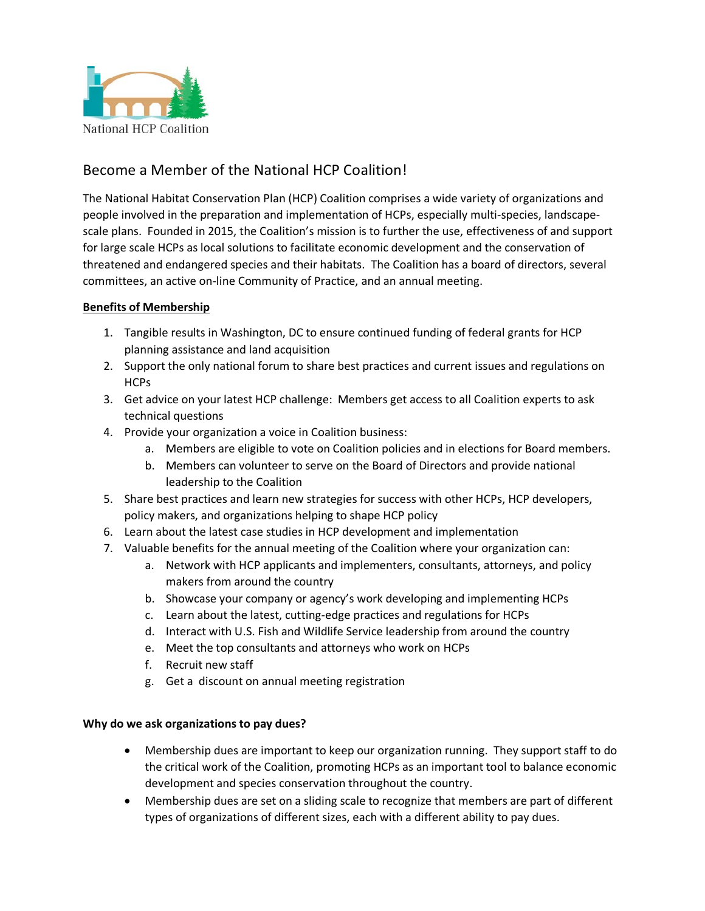

## Become a Member of the National HCP Coalition!

The National Habitat Conservation Plan (HCP) Coalition comprises a wide variety of organizations and people involved in the preparation and implementation of HCPs, especially multi-species, landscapescale plans. Founded in 2015, the Coalition's mission is to further the use, effectiveness of and support for large scale HCPs as local solutions to facilitate economic development and the conservation of threatened and endangered species and their habitats. The Coalition has a board of directors, several committees, an active on-line Community of Practice, and an annual meeting.

#### **Benefits of Membership**

- 1. Tangible results in Washington, DC to ensure continued funding of federal grants for HCP planning assistance and land acquisition
- 2. Support the only national forum to share best practices and current issues and regulations on HCPs
- 3. Get advice on your latest HCP challenge: Members get access to all Coalition experts to ask technical questions
- 4. Provide your organization a voice in Coalition business:
	- a. Members are eligible to vote on Coalition policies and in elections for Board members.
	- b. Members can volunteer to serve on the Board of Directors and provide national leadership to the Coalition
- 5. Share best practices and learn new strategies for success with other HCPs, HCP developers, policy makers, and organizations helping to shape HCP policy
- 6. Learn about the latest case studies in HCP development and implementation
- 7. Valuable benefits for the annual meeting of the Coalition where your organization can:
	- a. Network with HCP applicants and implementers, consultants, attorneys, and policy makers from around the country
	- b. Showcase your company or agency's work developing and implementing HCPs
	- c. Learn about the latest, cutting-edge practices and regulations for HCPs
	- d. Interact with U.S. Fish and Wildlife Service leadership from around the country
	- e. Meet the top consultants and attorneys who work on HCPs
	- f. Recruit new staff
	- g. Get a discount on annual meeting registration

### **Why do we ask organizations to pay dues?**

- Membership dues are important to keep our organization running. They support staff to do the critical work of the Coalition, promoting HCPs as an important tool to balance economic development and species conservation throughout the country.
- Membership dues are set on a sliding scale to recognize that members are part of different types of organizations of different sizes, each with a different ability to pay dues.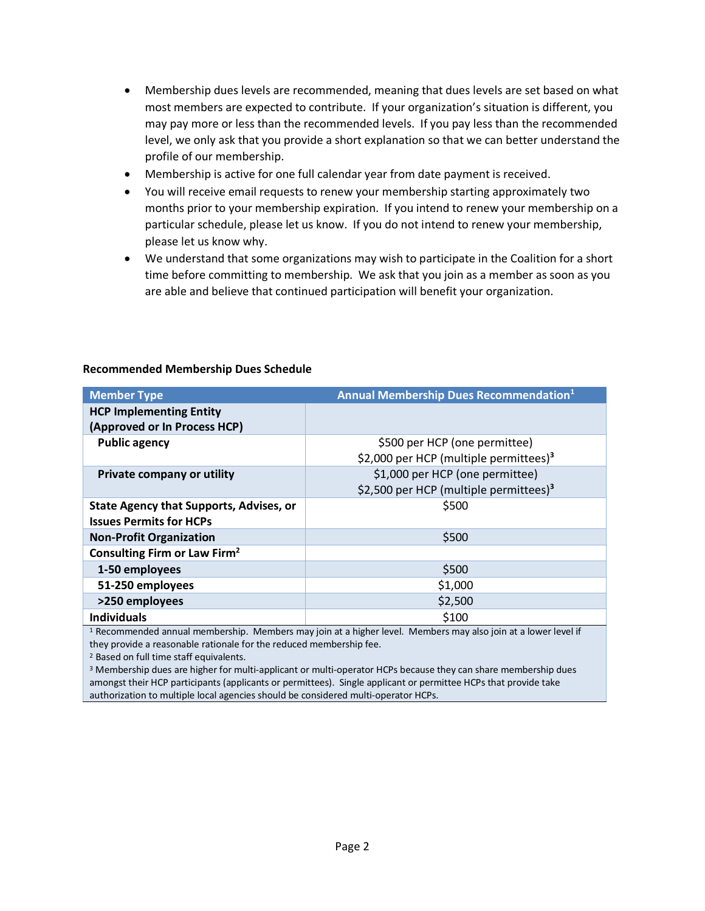- Membership dues levels are recommended, meaning that dues levels are set based on what most members are expected to contribute. If your organization's situation is different, you may pay more or less than the recommended levels. If you pay less than the recommended level, we only ask that you provide a short explanation so that we can better understand the profile of our membership.
- Membership is active for one full calendar year from date payment is received.
- You will receive email requests to renew your membership starting approximately two months prior to your membership expiration. If you intend to renew your membership on a particular schedule, please let us know. If you do not intend to renew your membership, please let us know why.
- We understand that some organizations may wish to participate in the Coalition for a short time before committing to membership. We ask that you join as a member as soon as you are able and believe that continued participation will benefit your organization.

| <b>Member Type</b>                             | Annual Membership Dues Recommendation <sup>1</sup> |  |  |
|------------------------------------------------|----------------------------------------------------|--|--|
| <b>HCP Implementing Entity</b>                 |                                                    |  |  |
| (Approved or In Process HCP)                   |                                                    |  |  |
| <b>Public agency</b>                           | \$500 per HCP (one permittee)                      |  |  |
|                                                | \$2,000 per HCP (multiple permittees) <sup>3</sup> |  |  |
| Private company or utility                     | \$1,000 per HCP (one permittee)                    |  |  |
|                                                | \$2,500 per HCP (multiple permittees) <sup>3</sup> |  |  |
| <b>State Agency that Supports, Advises, or</b> | \$500                                              |  |  |
| <b>Issues Permits for HCPs</b>                 |                                                    |  |  |
| <b>Non-Profit Organization</b>                 | \$500                                              |  |  |
| <b>Consulting Firm or Law Firm<sup>2</sup></b> |                                                    |  |  |
| 1-50 employees                                 | \$500                                              |  |  |
| 51-250 employees                               | \$1,000                                            |  |  |
| >250 employees                                 | \$2,500                                            |  |  |
| <b>Individuals</b>                             | \$100                                              |  |  |

#### **Recommended Membership Dues Schedule**

<sup>1</sup> Recommended annual membership. Members may join at a higher level. Members may also join at a lower level if they provide a reasonable rationale for the reduced membership fee.

<sup>2</sup> Based on full time staff equivalents.

<sup>3</sup> Membership dues are higher for multi-applicant or multi-operator HCPs because they can share membership dues amongst their HCP participants (applicants or permittees). Single applicant or permittee HCPs that provide take authorization to multiple local agencies should be considered multi-operator HCPs.